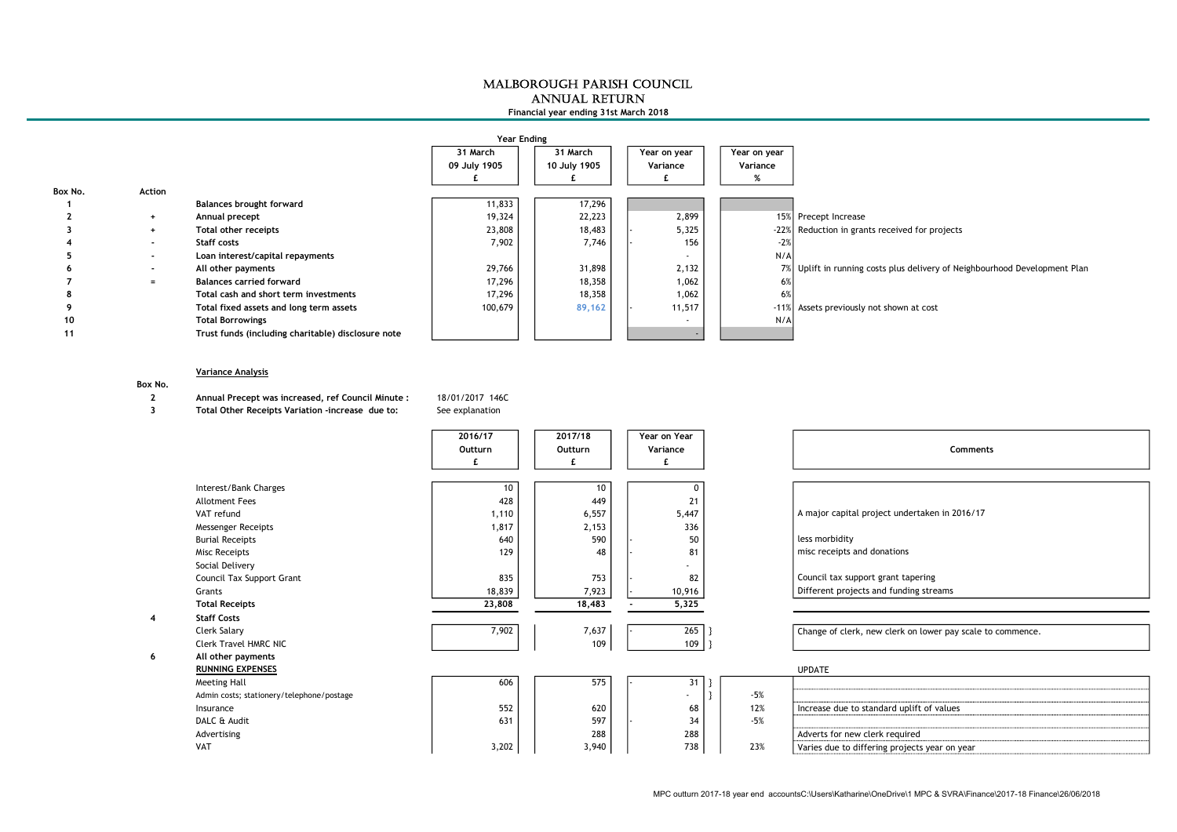## MALBOROUGH PARISH COUNCIL ANNUAL RETURN Financial year ending 31st March 2018

| Year Ending |                |                                                    |              |              |  |              |  |              |                                                                            |  |
|-------------|----------------|----------------------------------------------------|--------------|--------------|--|--------------|--|--------------|----------------------------------------------------------------------------|--|
|             |                |                                                    | 31 March     | 31 March     |  | Year on year |  | Year on year |                                                                            |  |
|             |                |                                                    | 09 July 1905 | 10 July 1905 |  | Variance     |  | Variance     |                                                                            |  |
|             |                |                                                    |              |              |  |              |  |              |                                                                            |  |
| Box No.     | Action         |                                                    |              |              |  |              |  |              |                                                                            |  |
|             |                | <b>Balances brought forward</b>                    | 11,833       | 17,296       |  |              |  |              |                                                                            |  |
|             | $\ddot{}$      | Annual precept                                     | 19,324       | 22,223       |  | 2,899        |  |              | 15% Precept Increase                                                       |  |
|             | $+$            | Total other receipts                               | 23,808       | 18,483       |  | 5,325        |  |              | -22% Reduction in grants received for projects                             |  |
|             | $\blacksquare$ | Staff costs                                        | 7,902        | 7,746        |  | 156          |  | $-2%$        |                                                                            |  |
|             | $\blacksquare$ | Loan interest/capital repayments                   |              |              |  | . .          |  | N/A          |                                                                            |  |
|             | $\blacksquare$ | All other payments                                 | 29,766       | 31,898       |  | 2,132        |  |              | 7% Uplift in running costs plus delivery of Neighbourhood Development Plan |  |
|             | $=$            | <b>Balances carried forward</b>                    | 17,296       | 18,358       |  | 1,062        |  | 6%           |                                                                            |  |
|             |                | Total cash and short term investments              | 17,296       | 18,358       |  | 1,062        |  | 6%           |                                                                            |  |
|             |                | Total fixed assets and long term assets            | 100,679      | 89,162       |  | 11,517       |  | $-11%$       | Assets previously not shown at cost                                        |  |
| 10          |                | <b>Total Borrowings</b>                            |              |              |  |              |  | N/A          |                                                                            |  |
| 11          |                | Trust funds (including charitable) disclosure note |              |              |  |              |  |              |                                                                            |  |

## Variance Analysis

## Box No.

2 Annual Precept was increased, ref Council Minute : 18/01/2017 146C

3 Total Other Receipts Variation -increase due to: See explanation

|                                           | 2016/17<br>Outturn | 2017/18<br>Outturn | Year on Year<br>Variance<br>£. |       | Comments                                                   |
|-------------------------------------------|--------------------|--------------------|--------------------------------|-------|------------------------------------------------------------|
| Interest/Bank Charges                     | 10                 | 10                 | $\Omega$                       |       |                                                            |
| <b>Allotment Fees</b>                     | 428                | 449                | 21                             |       |                                                            |
| VAT refund                                | 1,110              | 6,557              | 5,447                          |       | A major capital project undertaken in 2016/17              |
| <b>Messenger Receipts</b>                 | 1,817              | 2,153              | 336                            |       |                                                            |
| <b>Burial Receipts</b>                    | 640                | 590                | 50                             |       | less morbidity                                             |
| Misc Receipts                             | 129                | 48                 | 81                             |       | misc receipts and donations                                |
| Social Delivery                           |                    |                    |                                |       |                                                            |
| Council Tax Support Grant                 | 835                | 753                | 82                             |       | Council tax support grant tapering                         |
| Grants                                    | 18,839             | 7,923              | 10,916                         |       | Different projects and funding streams                     |
| <b>Total Receipts</b>                     | 23,808             | 18,483             | 5,325                          |       |                                                            |
| <b>Staff Costs</b>                        |                    |                    |                                |       |                                                            |
| Clerk Salary                              | 7,902              | 7,637              | 265                            |       | Change of clerk, new clerk on lower pay scale to commence. |
| <b>Clerk Travel HMRC NIC</b>              |                    | 109                | 109                            |       |                                                            |
| All other payments                        |                    |                    |                                |       |                                                            |
| <b>RUNNING EXPENSES</b>                   |                    |                    |                                |       | <b>UPDATE</b>                                              |
| Meeting Hall                              | 606                | 575                | 31                             |       |                                                            |
| Admin costs; stationery/telephone/postage |                    |                    |                                | $-5%$ |                                                            |
| Insurance                                 | 552                | 620                | 68                             | 12%   | Increase due to standard uplift of values                  |
| DALC & Audit                              | 631                | 597                | 34                             | $-5%$ |                                                            |
| Advertising                               |                    | 288                | 288                            |       | Adverts for new clerk required                             |
| <b>VAT</b>                                | 3,202              | 3,940              | 738                            | 23%   | Varies due to differing projects year on year              |